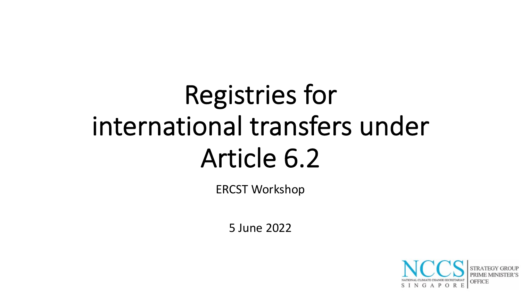# Registries for international transfers under Article 6.2

ERCST Workshop

5 June 2022

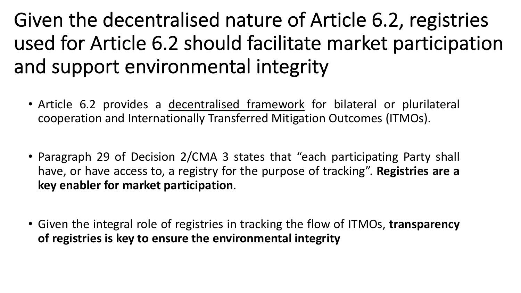### Given the decentralised nature of Article 6.2, registries used for Article 6.2 should facilitate market participation and support environmental integrity

- Article 6.2 provides a decentralised framework for bilateral or plurilateral cooperation and Internationally Transferred Mitigation Outcomes (ITMOs).
- Paragraph 29 of Decision 2/CMA 3 states that "each participating Party shall have, or have access to, a registry for the purpose of tracking". **Registries are a key enabler for market participation**.
- Given the integral role of registries in tracking the flow of ITMOs, **transparency of registries is key to ensure the environmental integrity**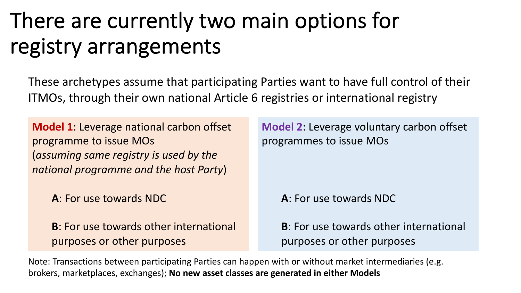### There are currently two main options for registry arrangements

These archetypes assume that participating Parties want to have full control of their ITMOs, through their own national Article 6 registries or international registry

**Model 1**: Leverage national carbon offset programme to issue MOs (*assuming same registry is used by the national programme and the host Party*)

**A**: For use towards NDC

**B**: For use towards other international purposes or other purposes

**Model 2**: Leverage voluntary carbon offset programmes to issue MOs

**A**: For use towards NDC

**B**: For use towards other international purposes or other purposes

Note: Transactions between participating Parties can happen with or without market intermediaries (e.g. brokers, marketplaces, exchanges); **No new asset classes are generated in either Models**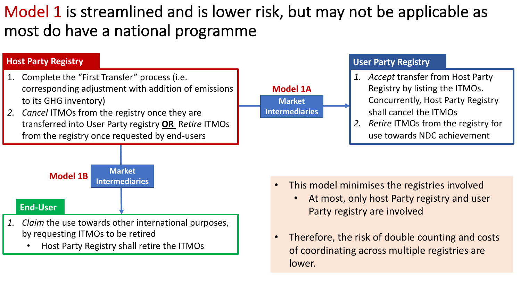### Model 1 is streamlined and is lower risk, but may not be applicable as most do have a national programme

#### 1. Complete the "First Transfer" process (i.e. corresponding adjustment with addition of emissions to its GHG inventory) *2. Cancel* ITMOs from the registry once they are transferred into User Party registry **OR** R*etire* ITMOs from the registry once requested by end-users **Host Party Registry Market Intermediaries** *1. Claim* the use towards other international purposes, by requesting ITMOs to be retired **End-User**

• Host Party Registry shall retire the ITMOs

#### **Model 1A Market Intermediaries**

#### **User Party Registry**

- *1. Accept* transfer from Host Party Registry by listing the ITMOs. Concurrently, Host Party Registry shall cancel the ITMOs
- *2. Retire* ITMOs from the registry for use towards NDC achievement

- This model minimises the registries involved
	- At most, only host Party registry and user Party registry are involved
- Therefore, the risk of double counting and costs of coordinating across multiple registries are lower.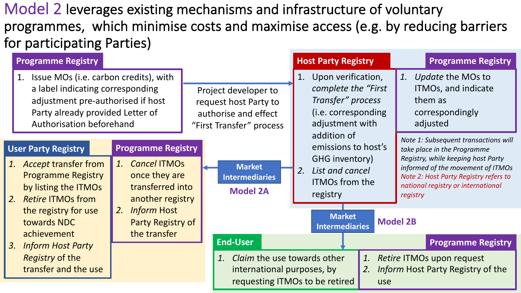Model 2 leverages existing mechanisms and infrastructure of voluntary programmes, which minimise costs and maximise access (e.g. by reducing barriers for participating Parties)

| Issue MOs (i.e. carbon credits), with<br>1.<br>a label indicating corresponding<br>Project developer to<br>Transfer" process<br>adjustment pre-authorised if host<br>request host Party to<br>Party already provided Letter of<br>authorise and effect<br>Authorisation beforehand<br>adjustment with<br>"First Transfer" process<br>addition of<br><b>Programme Registry</b><br><b>User Party Registry</b> | Upon verification,<br>1.<br>Update the MOs to<br>complete the "First"<br>ITMOs, and indicate<br>them as<br>(i.e. corresponding<br>correspondingly<br>adjusted<br>Note 1: Subsequent transactions will<br>emissions to host's<br>take place in the Programme |
|-------------------------------------------------------------------------------------------------------------------------------------------------------------------------------------------------------------------------------------------------------------------------------------------------------------------------------------------------------------------------------------------------------------|-------------------------------------------------------------------------------------------------------------------------------------------------------------------------------------------------------------------------------------------------------------|
| GHG inventory)<br><b>Cancel ITMOs</b><br>1. Accept transfer from<br>1.<br><b>Market</b><br>List and cancel<br>2.<br>once they are<br><b>Programme Registry</b><br><b>Intermediaries</b><br><b>ITMOs from the</b><br>transferred into<br>by listing the ITMOs<br><b>Model 2A</b><br>registry<br>another registry<br>2. Retire ITMOs from                                                                     | Registry, while keeping host Party<br>informed of the movement of ITMOs<br>Note 2: Host Party Registry refers to<br>national registry or international<br>registry                                                                                          |
| 2. Inform Host<br>the registry for use<br><b>Market</b><br>towards NDC<br>Party Registry of<br><b>Intermediaries</b><br>the transfer<br>achievement                                                                                                                                                                                                                                                         | <b>Model 2B</b>                                                                                                                                                                                                                                             |
| <b>End-User</b><br><b>Inform Host Party</b><br>3.                                                                                                                                                                                                                                                                                                                                                           | <b>Programme Registry</b>                                                                                                                                                                                                                                   |
| Claim the use towards other<br><i>Registry</i> of the<br>1.<br>transfer and the use<br>international purposes, by<br>requesting ITMOs to be retired                                                                                                                                                                                                                                                         | 1.<br>Retire ITMOs upon request<br><i>Inform</i> Host Party Registry of the<br>2.<br>use                                                                                                                                                                    |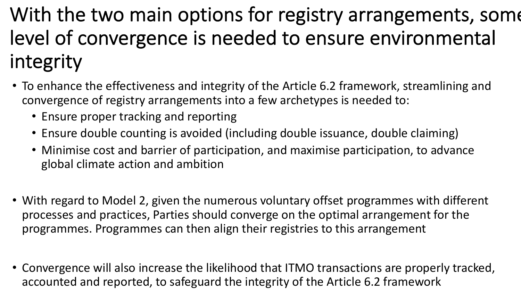With the two main options for registry arrangements, some level of convergence is needed to ensure environmental integrity

- To enhance the effectiveness and integrity of the Article 6.2 framework, streamlining and convergence of registry arrangements into a few archetypes is needed to:
	- Ensure proper tracking and reporting
	- Ensure double counting is avoided (including double issuance, double claiming)
	- Minimise cost and barrier of participation, and maximise participation, to advance global climate action and ambition
- With regard to Model 2, given the numerous voluntary offset programmes with different processes and practices, Parties should converge on the optimal arrangement for the programmes. Programmes can then align their registries to this arrangement
- Convergence will also increase the likelihood that ITMO transactions are properly tracked, accounted and reported, to safeguard the integrity of the Article 6.2 framework